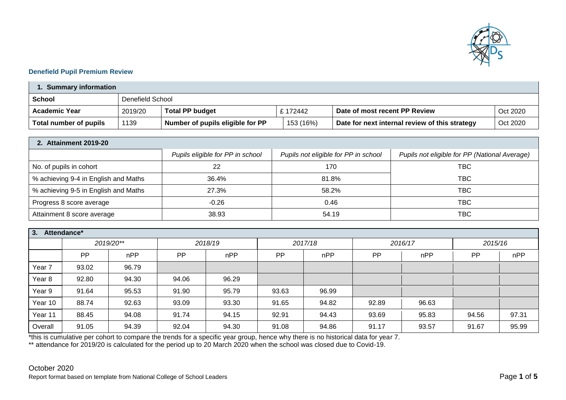

## **Denefield Pupil Premium Review**

| <b>Summary information</b> |                  |                                  |  |           |                                                |          |  |
|----------------------------|------------------|----------------------------------|--|-----------|------------------------------------------------|----------|--|
| School                     | Denefield School |                                  |  |           |                                                |          |  |
| <b>Academic Year</b>       | 2019/20          | <b>Total PP budget</b>           |  | £ 172442  | Date of most recent PP Review                  | Oct 2020 |  |
| Total number of pupils     | 1139             | Number of pupils eligible for PP |  | 153 (16%) | Date for next internal review of this strategy | Oct 2020 |  |

| 2. Attainment 2019-20                |                                  |                                      |                                               |  |  |  |  |
|--------------------------------------|----------------------------------|--------------------------------------|-----------------------------------------------|--|--|--|--|
|                                      | Pupils eligible for PP in school | Pupils not eligible for PP in school | Pupils not eligible for PP (National Average) |  |  |  |  |
| No. of pupils in cohort              | 22                               | 170                                  | TBC                                           |  |  |  |  |
| % achieving 9-4 in English and Maths | 36.4%                            | 81.8%                                | TBC                                           |  |  |  |  |
| % achieving 9-5 in English and Maths | 27.3%                            | 58.2%                                | TBC                                           |  |  |  |  |
| Progress 8 score average             | $-0.26$                          | 0.46                                 | <b>TBC</b>                                    |  |  |  |  |
| Attainment 8 score average           | 38.93                            | 54.19                                | твс                                           |  |  |  |  |

| 3.<br>Attendance* |           |           |         |       |         |       |           |       |         |       |
|-------------------|-----------|-----------|---------|-------|---------|-------|-----------|-------|---------|-------|
|                   |           | 2019/20** | 2018/19 |       | 2017/18 |       | 2016/17   |       | 2015/16 |       |
|                   | <b>PP</b> | nPP       | PP      | nPP   | PP      | nPP   | <b>PP</b> | nPP   | PP      | nPP   |
| Year <sub>7</sub> | 93.02     | 96.79     |         |       |         |       |           |       |         |       |
| Year <sub>8</sub> | 92.80     | 94.30     | 94.06   | 96.29 |         |       |           |       |         |       |
| Year 9            | 91.64     | 95.53     | 91.90   | 95.79 | 93.63   | 96.99 |           |       |         |       |
| Year 10           | 88.74     | 92.63     | 93.09   | 93.30 | 91.65   | 94.82 | 92.89     | 96.63 |         |       |
| Year 11           | 88.45     | 94.08     | 91.74   | 94.15 | 92.91   | 94.43 | 93.69     | 95.83 | 94.56   | 97.31 |
| Overall           | 91.05     | 94.39     | 92.04   | 94.30 | 91.08   | 94.86 | 91.17     | 93.57 | 91.67   | 95.99 |

\*this is cumulative per cohort to compare the trends for a specific year group, hence why there is no historical data for year 7.

\*\* attendance for 2019/20 is calculated for the period up to 20 March 2020 when the school was closed due to Covid-19.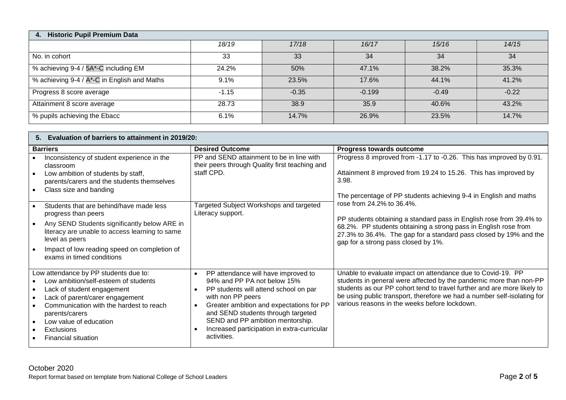| <b>Historic Pupil Premium Data</b><br>$\overline{4}$ . |         |         |          |         |         |  |  |
|--------------------------------------------------------|---------|---------|----------|---------|---------|--|--|
|                                                        | 18/19   | 17/18   | 16/17    | 15/16   | 14/15   |  |  |
| No. in cohort                                          | 33      | 33      | 34       | 34      | 34      |  |  |
| % achieving 9-4 / 5A*-C including EM                   | 24.2%   | 50%     | 47.1%    | 38.2%   | 35.3%   |  |  |
| % achieving 9-4 / A*-C in English and Maths            | 9.1%    | 23.5%   | 17.6%    | 44.1%   | 41.2%   |  |  |
| Progress 8 score average                               | $-1.15$ | $-0.35$ | $-0.199$ | $-0.49$ | $-0.22$ |  |  |
| Attainment 8 score average                             | 28.73   | 38.9    | 35.9     | 40.6%   | 43.2%   |  |  |
| % pupils achieving the Ebacc                           | 6.1%    | 14.7%   | 26.9%    | 23.5%   | 14.7%   |  |  |

| 5. Evaluation of barriers to attainment in 2019/20:                                                                                                                                                                                                                                                   |                                                                                                                                                                                                                                                                                                                                                             |                                                                                                                                                                                                                                                                                                                                          |  |  |  |  |  |
|-------------------------------------------------------------------------------------------------------------------------------------------------------------------------------------------------------------------------------------------------------------------------------------------------------|-------------------------------------------------------------------------------------------------------------------------------------------------------------------------------------------------------------------------------------------------------------------------------------------------------------------------------------------------------------|------------------------------------------------------------------------------------------------------------------------------------------------------------------------------------------------------------------------------------------------------------------------------------------------------------------------------------------|--|--|--|--|--|
| <b>Barriers</b>                                                                                                                                                                                                                                                                                       | <b>Desired Outcome</b>                                                                                                                                                                                                                                                                                                                                      | Progress towards outcome                                                                                                                                                                                                                                                                                                                 |  |  |  |  |  |
| Inconsistency of student experience in the<br>classroom<br>Low ambition of students by staff,<br>parents/carers and the students themselves<br>Class size and banding                                                                                                                                 | PP and SEND attainment to be in line with<br>their peers through Quality first teaching and<br>staff CPD.                                                                                                                                                                                                                                                   | Progress 8 improved from -1.17 to -0.26. This has improved by 0.91.<br>Attainment 8 improved from 19.24 to 15.26. This has improved by<br>3.98.<br>The percentage of PP students achieving 9-4 in English and maths                                                                                                                      |  |  |  |  |  |
| Students that are behind/have made less<br>progress than peers<br>Any SEND Students significantly below ARE in<br>literacy are unable to access learning to same<br>level as peers<br>Impact of low reading speed on completion of<br>exams in timed conditions                                       | Targeted Subject Workshops and targeted<br>Literacy support.                                                                                                                                                                                                                                                                                                | rose from 24.2% to 36.4%.<br>PP students obtaining a standard pass in English rose from 39.4% to<br>68.2%. PP students obtaining a strong pass in English rose from<br>27.3% to 36.4%. The gap for a standard pass closed by 19% and the<br>gap for a strong pass closed by 1%.                                                          |  |  |  |  |  |
| Low attendance by PP students due to:<br>Low ambition/self-esteem of students<br>Lack of student engagement<br>$\bullet$<br>Lack of parent/carer engagement<br>Communication with the hardest to reach<br>parents/carers<br>Low value of education<br><b>Exclusions</b><br><b>Financial situation</b> | PP attendance will have improved to<br>$\bullet$<br>94% and PP PA not below 15%<br>PP students will attend school on par<br>$\bullet$<br>with non PP peers<br>Greater ambition and expectations for PP<br>$\bullet$<br>and SEND students through targeted<br>SEND and PP ambition mentorship.<br>Increased participation in extra-curricular<br>activities. | Unable to evaluate impact on attendance due to Covid-19. PP<br>students in general were affected by the pandemic more than non-PP<br>students as our PP cohort tend to travel further and are more likely to<br>be using public transport, therefore we had a number self-isolating for<br>various reasons in the weeks before lockdown. |  |  |  |  |  |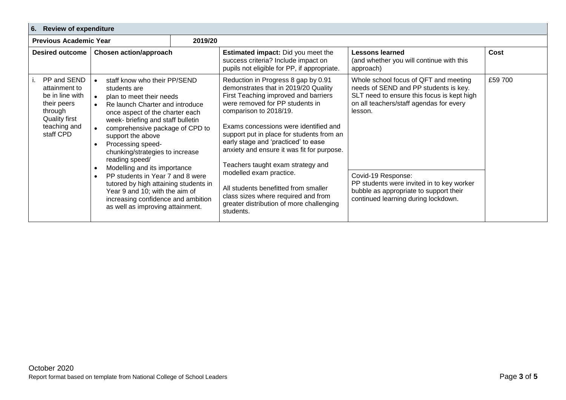| 6. Review of expenditure                                                                                                       |                                                                                                                                                                                                                                                                                                                                                                                                                                                                                                                                                                                                    |                                                                                                                                 |                                                                                                                                                                                                                                                                                                                                                                                                                                                                                                                                                                     |                                                                                                                                                                                                                                                                                                                                        |         |  |  |
|--------------------------------------------------------------------------------------------------------------------------------|----------------------------------------------------------------------------------------------------------------------------------------------------------------------------------------------------------------------------------------------------------------------------------------------------------------------------------------------------------------------------------------------------------------------------------------------------------------------------------------------------------------------------------------------------------------------------------------------------|---------------------------------------------------------------------------------------------------------------------------------|---------------------------------------------------------------------------------------------------------------------------------------------------------------------------------------------------------------------------------------------------------------------------------------------------------------------------------------------------------------------------------------------------------------------------------------------------------------------------------------------------------------------------------------------------------------------|----------------------------------------------------------------------------------------------------------------------------------------------------------------------------------------------------------------------------------------------------------------------------------------------------------------------------------------|---------|--|--|
| <b>Previous Academic Year</b>                                                                                                  |                                                                                                                                                                                                                                                                                                                                                                                                                                                                                                                                                                                                    | 2019/20                                                                                                                         |                                                                                                                                                                                                                                                                                                                                                                                                                                                                                                                                                                     |                                                                                                                                                                                                                                                                                                                                        |         |  |  |
| <b>Desired outcome</b><br><b>Chosen action/approach</b>                                                                        |                                                                                                                                                                                                                                                                                                                                                                                                                                                                                                                                                                                                    | <b>Estimated impact:</b> Did you meet the<br>success criteria? Include impact on<br>pupils not eligible for PP, if appropriate. | <b>Lessons learned</b><br>(and whether you will continue with this<br>approach)                                                                                                                                                                                                                                                                                                                                                                                                                                                                                     | Cost                                                                                                                                                                                                                                                                                                                                   |         |  |  |
| PP and SEND<br>attainment to<br>be in line with<br>their peers<br>through<br><b>Quality first</b><br>teaching and<br>staff CPD | staff know who their PP/SEND<br>$\bullet$<br>students are<br>plan to meet their needs<br>$\bullet$<br>Re launch Charter and introduce<br>$\bullet$<br>once aspect of the charter each<br>week- briefing and staff bulletin<br>comprehensive package of CPD to<br>support the above<br>Processing speed-<br>chunking/strategies to increase<br>reading speed/<br>Modelling and its importance<br>$\bullet$<br>PP students in Year 7 and 8 were<br>tutored by high attaining students in<br>Year 9 and 10; with the aim of<br>increasing confidence and ambition<br>as well as improving attainment. |                                                                                                                                 | Reduction in Progress 8 gap by 0.91<br>demonstrates that in 2019/20 Quality<br>First Teaching improved and barriers<br>were removed for PP students in<br>comparison to 2018/19.<br>Exams concessions were identified and<br>support put in place for students from an<br>early stage and 'practiced' to ease<br>anxiety and ensure it was fit for purpose.<br>Teachers taught exam strategy and<br>modelled exam practice.<br>All students benefitted from smaller<br>class sizes where required and from<br>greater distribution of more challenging<br>students. | Whole school focus of QFT and meeting<br>needs of SEND and PP students is key.<br>SLT need to ensure this focus is kept high<br>on all teachers/staff agendas for every<br>lesson.<br>Covid-19 Response:<br>PP students were invited in to key worker<br>bubble as appropriate to support their<br>continued learning during lockdown. | £59 700 |  |  |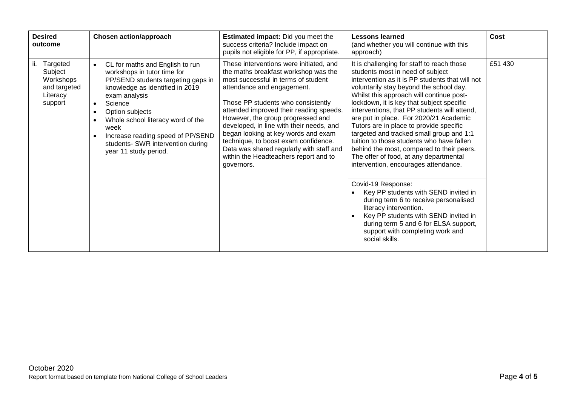| <b>Desired</b><br>outcome                                                      | <b>Chosen action/approach</b>                                                                                                                                                                                                                                                                                                                                                                           | <b>Estimated impact:</b> Did you meet the<br>success criteria? Include impact on<br>pupils not eligible for PP, if appropriate.                                                                                                                                                                                                                                                                                                                                                                          | <b>Lessons learned</b><br>(and whether you will continue with this<br>approach)                                                                                                                                                                                                                                                                                                                                                                                                                                                                                                                                                                                                                                                                                                                                                                                                                                         | Cost    |
|--------------------------------------------------------------------------------|---------------------------------------------------------------------------------------------------------------------------------------------------------------------------------------------------------------------------------------------------------------------------------------------------------------------------------------------------------------------------------------------------------|----------------------------------------------------------------------------------------------------------------------------------------------------------------------------------------------------------------------------------------------------------------------------------------------------------------------------------------------------------------------------------------------------------------------------------------------------------------------------------------------------------|-------------------------------------------------------------------------------------------------------------------------------------------------------------------------------------------------------------------------------------------------------------------------------------------------------------------------------------------------------------------------------------------------------------------------------------------------------------------------------------------------------------------------------------------------------------------------------------------------------------------------------------------------------------------------------------------------------------------------------------------------------------------------------------------------------------------------------------------------------------------------------------------------------------------------|---------|
| Targeted<br>ii.<br>Subject<br>Workshops<br>and targeted<br>Literacy<br>support | CL for maths and English to run<br>$\bullet$<br>workshops in tutor time for<br>PP/SEND students targeting gaps in<br>knowledge as identified in 2019<br>exam analysis<br>Science<br>$\bullet$<br>Option subjects<br>$\bullet$<br>Whole school literacy word of the<br>$\bullet$<br>week<br>Increase reading speed of PP/SEND<br>$\bullet$<br>students- SWR intervention during<br>year 11 study period. | These interventions were initiated, and<br>the maths breakfast workshop was the<br>most successful in terms of student<br>attendance and engagement.<br>Those PP students who consistently<br>attended improved their reading speeds.<br>However, the group progressed and<br>developed, in line with their needs, and<br>began looking at key words and exam<br>technique, to boost exam confidence.<br>Data was shared regularly with staff and<br>within the Headteachers report and to<br>governors. | It is challenging for staff to reach those<br>students most in need of subject<br>intervention as it is PP students that will not<br>voluntarily stay beyond the school day.<br>Whilst this approach will continue post-<br>lockdown, it is key that subject specific<br>interventions, that PP students will attend,<br>are put in place. For 2020/21 Academic<br>Tutors are in place to provide specific<br>targeted and tracked small group and 1:1<br>tuition to those students who have fallen<br>behind the most, compared to their peers.<br>The offer of food, at any departmental<br>intervention, encourages attendance.<br>Covid-19 Response:<br>Key PP students with SEND invited in<br>during term 6 to receive personalised<br>literacy intervention.<br>Key PP students with SEND invited in<br>$\bullet$<br>during term 5 and 6 for ELSA support,<br>support with completing work and<br>social skills. | £51 430 |